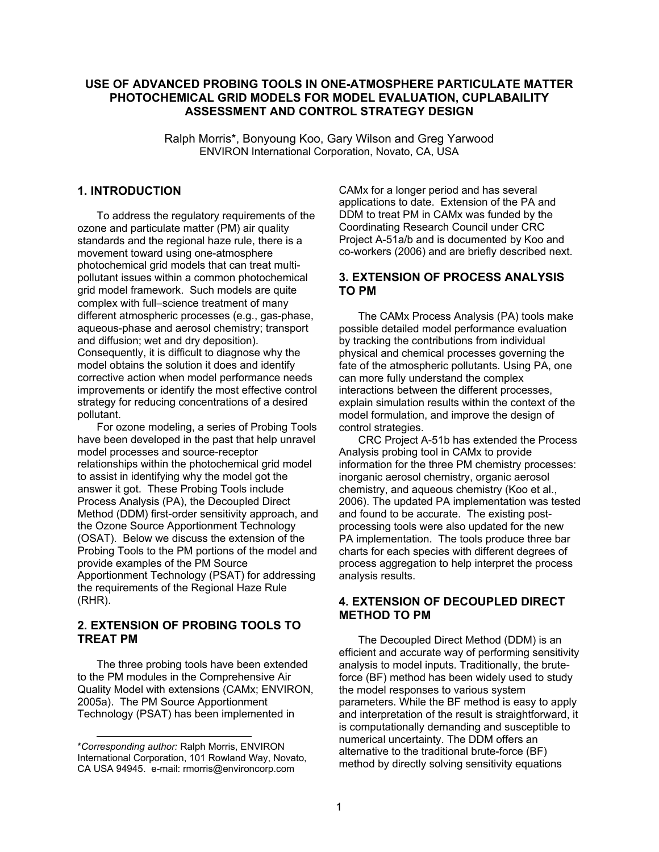# **USE OF ADVANCED PROBING TOOLS IN ONE-ATMOSPHERE PARTICULATE MATTER PHOTOCHEMICAL GRID MODELS FOR MODEL EVALUATION, CUPLABAILITY ASSESSMENT AND CONTROL STRATEGY DESIGN**

Ralph Morris\*, Bonyoung Koo, Gary Wilson and Greg Yarwood ENVIRON International Corporation, Novato, CA, USA

# **1. INTRODUCTION**

To address the regulatory requirements of the ozone and particulate matter (PM) air quality standards and the regional haze rule, there is a movement toward using one-atmosphere photochemical grid models that can treat multipollutant issues within a common photochemical grid model framework. Such models are quite complex with full−science treatment of many different atmospheric processes (e.g., gas-phase, aqueous-phase and aerosol chemistry; transport and diffusion; wet and dry deposition). Consequently, it is difficult to diagnose why the model obtains the solution it does and identify corrective action when model performance needs improvements or identify the most effective control strategy for reducing concentrations of a desired pollutant.

For ozone modeling, a series of Probing Tools have been developed in the past that help unravel model processes and source-receptor relationships within the photochemical grid model to assist in identifying why the model got the answer it got. These Probing Tools include Process Analysis (PA), the Decoupled Direct Method (DDM) first-order sensitivity approach, and the Ozone Source Apportionment Technology (OSAT). Below we discuss the extension of the Probing Tools to the PM portions of the model and provide examples of the PM Source Apportionment Technology (PSAT) for addressing the requirements of the Regional Haze Rule (RHR).

# **2. EXTENSION OF PROBING TOOLS TO TREAT PM**

The three probing tools have been extended to the PM modules in the Comprehensive Air Quality Model with extensions (CAMx; ENVIRON, 2005a). The PM Source Apportionment Technology (PSAT) has been implemented in

l

CAMx for a longer period and has several applications to date. Extension of the PA and DDM to treat PM in CAMx was funded by the Coordinating Research Council under CRC Project A-51a/b and is documented by Koo and co-workers (2006) and are briefly described next.

# **3. EXTENSION OF PROCESS ANALYSIS TO PM**

The CAMx Process Analysis (PA) tools make possible detailed model performance evaluation by tracking the contributions from individual physical and chemical processes governing the fate of the atmospheric pollutants. Using PA, one can more fully understand the complex interactions between the different processes, explain simulation results within the context of the model formulation, and improve the design of control strategies.

CRC Project A-51b has extended the Process Analysis probing tool in CAMx to provide information for the three PM chemistry processes: inorganic aerosol chemistry, organic aerosol chemistry, and aqueous chemistry (Koo et al., 2006). The updated PA implementation was tested and found to be accurate. The existing postprocessing tools were also updated for the new PA implementation. The tools produce three bar charts for each species with different degrees of process aggregation to help interpret the process analysis results.

### **4. EXTENSION OF DECOUPLED DIRECT METHOD TO PM**

The Decoupled Direct Method (DDM) is an efficient and accurate way of performing sensitivity analysis to model inputs. Traditionally, the bruteforce (BF) method has been widely used to study the model responses to various system parameters. While the BF method is easy to apply and interpretation of the result is straightforward, it is computationally demanding and susceptible to numerical uncertainty. The DDM offers an alternative to the traditional brute-force (BF) method by directly solving sensitivity equations

<sup>\*</sup>*Corresponding author:* Ralph Morris, ENVIRON International Corporation, 101 Rowland Way, Novato, CA USA 94945. e-mail: rmorris@environcorp.com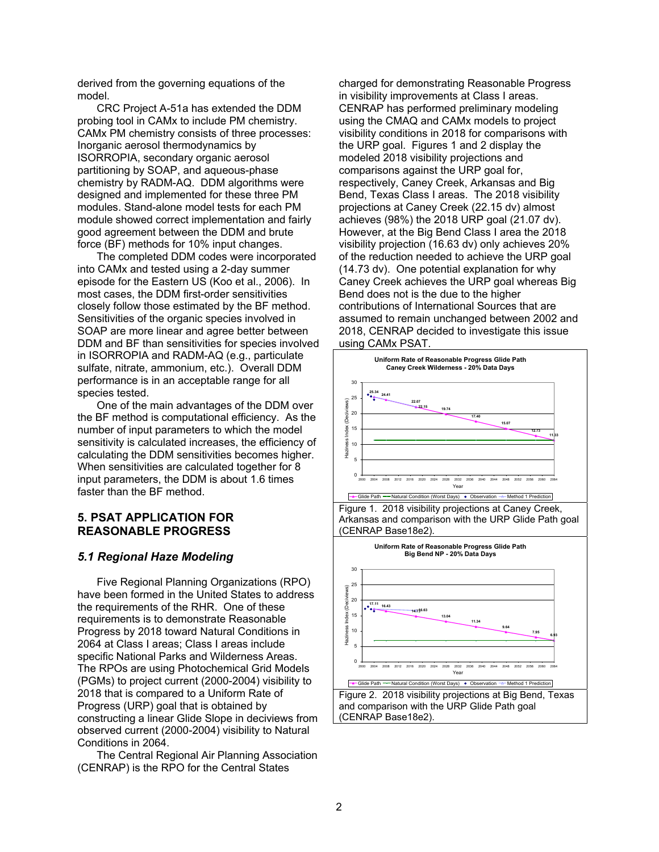derived from the governing equations of the model.

CRC Project A-51a has extended the DDM probing tool in CAMx to include PM chemistry. CAMx PM chemistry consists of three processes: Inorganic aerosol thermodynamics by ISORROPIA, secondary organic aerosol partitioning by SOAP, and aqueous-phase chemistry by RADM-AQ. DDM algorithms were designed and implemented for these three PM modules. Stand-alone model tests for each PM module showed correct implementation and fairly good agreement between the DDM and brute force (BF) methods for 10% input changes.

The completed DDM codes were incorporated into CAMx and tested using a 2-day summer episode for the Eastern US (Koo et al., 2006). In most cases, the DDM first-order sensitivities closely follow those estimated by the BF method. Sensitivities of the organic species involved in SOAP are more linear and agree better between DDM and BF than sensitivities for species involved in ISORROPIA and RADM-AQ (e.g., particulate sulfate, nitrate, ammonium, etc.). Overall DDM performance is in an acceptable range for all species tested.

One of the main advantages of the DDM over the BF method is computational efficiency. As the number of input parameters to which the model sensitivity is calculated increases, the efficiency of calculating the DDM sensitivities becomes higher. When sensitivities are calculated together for 8 input parameters, the DDM is about 1.6 times faster than the BF method.

### **5. PSAT APPLICATION FOR REASONABLE PROGRESS**

# *5.1 Regional Haze Modeling*

Five Regional Planning Organizations (RPO) have been formed in the United States to address the requirements of the RHR. One of these requirements is to demonstrate Reasonable Progress by 2018 toward Natural Conditions in 2064 at Class I areas; Class I areas include specific National Parks and Wilderness Areas. The RPOs are using Photochemical Grid Models (PGMs) to project current (2000-2004) visibility to 2018 that is compared to a Uniform Rate of Progress (URP) goal that is obtained by constructing a linear Glide Slope in deciviews from observed current (2000-2004) visibility to Natural Conditions in 2064.

The Central Regional Air Planning Association (CENRAP) is the RPO for the Central States

charged for demonstrating Reasonable Progress in visibility improvements at Class I areas. CENRAP has performed preliminary modeling using the CMAQ and CAMx models to project visibility conditions in 2018 for comparisons with the URP goal. Figures 1 and 2 display the modeled 2018 visibility projections and comparisons against the URP goal for, respectively, Caney Creek, Arkansas and Big Bend, Texas Class I areas. The 2018 visibility projections at Caney Creek (22.15 dv) almost achieves (98%) the 2018 URP goal (21.07 dv). However, at the Big Bend Class I area the 2018 visibility projection (16.63 dv) only achieves 20% of the reduction needed to achieve the URP goal (14.73 dv). One potential explanation for why Caney Creek achieves the URP goal whereas Big Bend does not is the due to the higher contributions of International Sources that are assumed to remain unchanged between 2002 and 2018, CENRAP decided to investigate this issue using CAMx PSAT.



Arkansas and comparison with the URP Glide Path goal (CENRAP Base18e2).

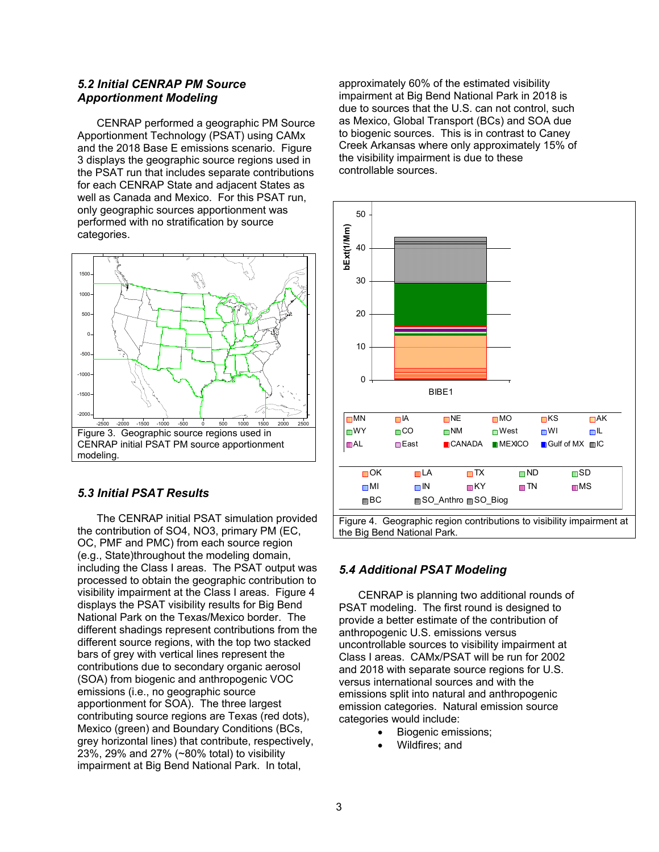# *5.2 Initial CENRAP PM Source Apportionment Modeling*

CENRAP performed a geographic PM Source Apportionment Technology (PSAT) using CAMx and the 2018 Base E emissions scenario. Figure 3 displays the geographic source regions used in the PSAT run that includes separate contributions for each CENRAP State and adjacent States as well as Canada and Mexico. For this PSAT run, only geographic sources apportionment was performed with no stratification by source categories.



### *5.3 Initial PSAT Results*

The CENRAP initial PSAT simulation provided the contribution of SO4, NO3, primary PM (EC, OC, PMF and PMC) from each source region (e.g., State)throughout the modeling domain, including the Class I areas. The PSAT output was processed to obtain the geographic contribution to visibility impairment at the Class I areas. Figure 4 displays the PSAT visibility results for Big Bend National Park on the Texas/Mexico border. The different shadings represent contributions from the different source regions, with the top two stacked bars of grey with vertical lines represent the contributions due to secondary organic aerosol (SOA) from biogenic and anthropogenic VOC emissions (i.e., no geographic source apportionment for SOA). The three largest contributing source regions are Texas (red dots), Mexico (green) and Boundary Conditions (BCs, grey horizontal lines) that contribute, respectively, 23%, 29% and 27% (~80% total) to visibility impairment at Big Bend National Park. In total,

approximately 60% of the estimated visibility impairment at Big Bend National Park in 2018 is due to sources that the U.S. can not control, such as Mexico, Global Transport (BCs) and SOA due to biogenic sources. This is in contrast to Caney Creek Arkansas where only approximately 15% of the visibility impairment is due to these controllable sources.



# *5.4 Additional PSAT Modeling*

CENRAP is planning two additional rounds of PSAT modeling. The first round is designed to provide a better estimate of the contribution of anthropogenic U.S. emissions versus uncontrollable sources to visibility impairment at Class I areas. CAMx/PSAT will be run for 2002 and 2018 with separate source regions for U.S. versus international sources and with the emissions split into natural and anthropogenic emission categories. Natural emission source categories would include:

- Biogenic emissions;
- Wildfires: and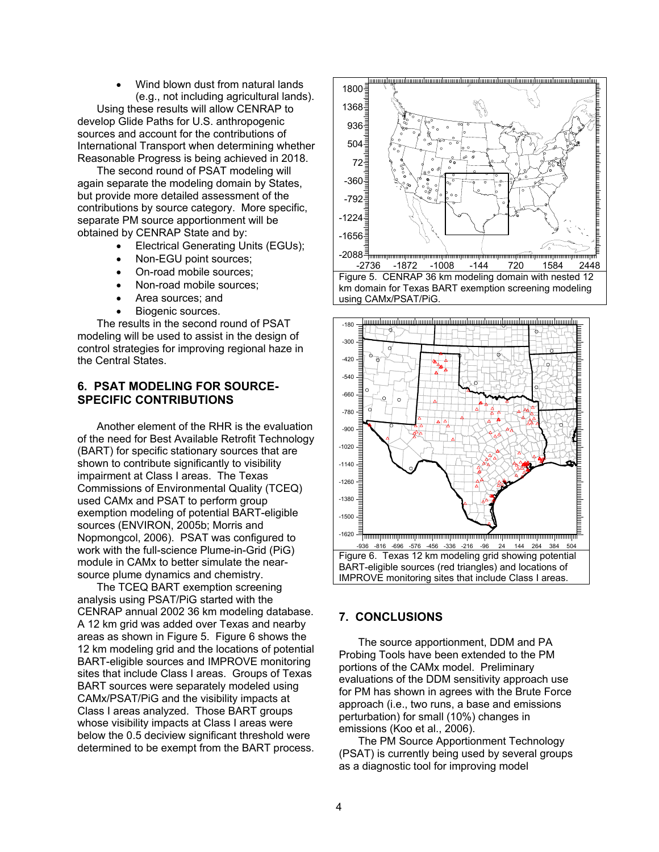• Wind blown dust from natural lands (e.g., not including agricultural lands).

Using these results will allow CENRAP to develop Glide Paths for U.S. anthropogenic sources and account for the contributions of International Transport when determining whether Reasonable Progress is being achieved in 2018.

The second round of PSAT modeling will again separate the modeling domain by States, but provide more detailed assessment of the contributions by source category. More specific, separate PM source apportionment will be obtained by CENRAP State and by:

- Electrical Generating Units (EGUs);
- Non-EGU point sources;
- On-road mobile sources;
- Non-road mobile sources;
- Area sources; and
- Biogenic sources.

The results in the second round of PSAT modeling will be used to assist in the design of control strategies for improving regional haze in the Central States.

# **6. PSAT MODELING FOR SOURCE-SPECIFIC CONTRIBUTIONS**

Another element of the RHR is the evaluation of the need for Best Available Retrofit Technology (BART) for specific stationary sources that are shown to contribute significantly to visibility impairment at Class I areas. The Texas Commissions of Environmental Quality (TCEQ) used CAMx and PSAT to perform group exemption modeling of potential BART-eligible sources (ENVIRON, 2005b; Morris and Nopmongcol, 2006). PSAT was configured to work with the full-science Plume-in-Grid (PiG) module in CAMx to better simulate the nearsource plume dynamics and chemistry.

The TCEQ BART exemption screening analysis using PSAT/PiG started with the CENRAP annual 2002 36 km modeling database. A 12 km grid was added over Texas and nearby areas as shown in Figure 5. Figure 6 shows the 12 km modeling grid and the locations of potential BART-eligible sources and IMPROVE monitoring sites that include Class I areas. Groups of Texas BART sources were separately modeled using CAMx/PSAT/PiG and the visibility impacts at Class I areas analyzed. Those BART groups whose visibility impacts at Class I areas were below the 0.5 deciview significant threshold were determined to be exempt from the BART process.





#### **7. CONCLUSIONS**

The source apportionment, DDM and PA Probing Tools have been extended to the PM portions of the CAMx model. Preliminary evaluations of the DDM sensitivity approach use for PM has shown in agrees with the Brute Force approach (i.e., two runs, a base and emissions perturbation) for small (10%) changes in emissions (Koo et al., 2006).

The PM Source Apportionment Technology (PSAT) is currently being used by several groups as a diagnostic tool for improving model